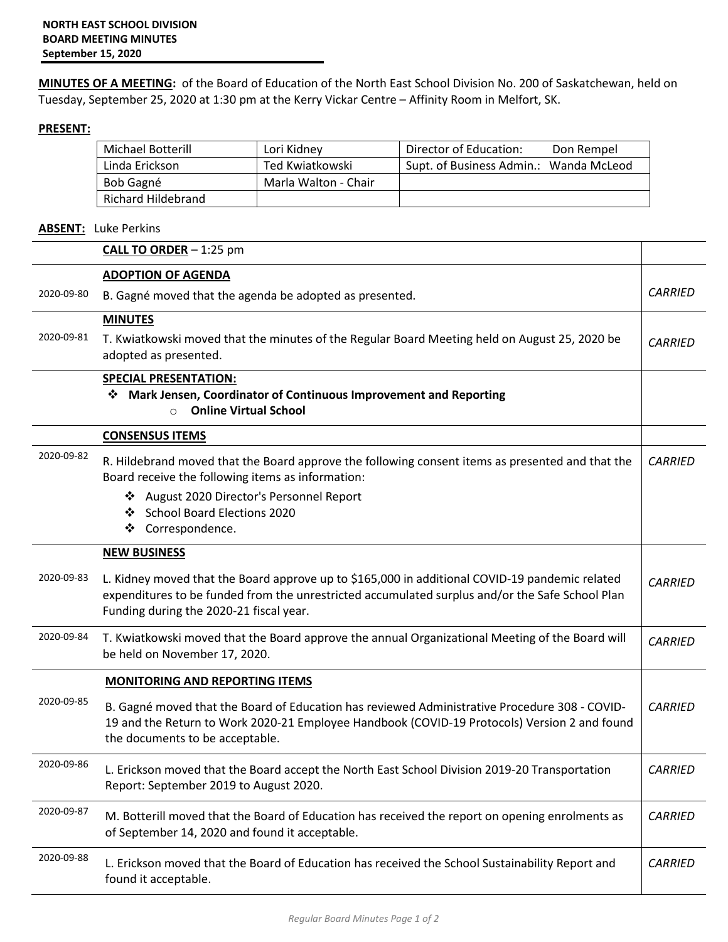**MINUTES OF A MEETING:** of the Board of Education of the North East School Division No. 200 of Saskatchewan, held on Tuesday, September 25, 2020 at 1:30 pm at the Kerry Vickar Centre – Affinity Room in Melfort, SK.

## **PRESENT:**

| Michael Botterill  | Lori Kidney          | Director of Education:<br>Don Rempel   |
|--------------------|----------------------|----------------------------------------|
| Linda Erickson     | Ted Kwiatkowski      | Supt. of Business Admin.: Wanda McLeod |
| Bob Gagné          | Marla Walton - Chair |                                        |
| Richard Hildebrand |                      |                                        |

## **ABSENT:** Luke Perkins

|            | <b>CALL TO ORDER</b> $-1:25$ pm                                                                                                                                                                                                              |                |
|------------|----------------------------------------------------------------------------------------------------------------------------------------------------------------------------------------------------------------------------------------------|----------------|
|            | <b>ADOPTION OF AGENDA</b>                                                                                                                                                                                                                    |                |
| 2020-09-80 | B. Gagné moved that the agenda be adopted as presented.                                                                                                                                                                                      | <b>CARRIED</b> |
|            | <b>MINUTES</b>                                                                                                                                                                                                                               |                |
| 2020-09-81 | T. Kwiatkowski moved that the minutes of the Regular Board Meeting held on August 25, 2020 be<br>adopted as presented.                                                                                                                       | <b>CARRIED</b> |
|            | <b>SPECIAL PRESENTATION:</b><br>Mark Jensen, Coordinator of Continuous Improvement and Reporting<br>❖                                                                                                                                        |                |
|            | <b>Online Virtual School</b><br>$\circ$                                                                                                                                                                                                      |                |
|            | <b>CONSENSUS ITEMS</b>                                                                                                                                                                                                                       |                |
| 2020-09-82 | R. Hildebrand moved that the Board approve the following consent items as presented and that the<br>Board receive the following items as information:                                                                                        | <b>CARRIED</b> |
|            | ❖ August 2020 Director's Personnel Report                                                                                                                                                                                                    |                |
|            | ❖ School Board Elections 2020<br>Correspondence.<br>❖                                                                                                                                                                                        |                |
|            | <b>NEW BUSINESS</b>                                                                                                                                                                                                                          |                |
| 2020-09-83 | L. Kidney moved that the Board approve up to \$165,000 in additional COVID-19 pandemic related<br>expenditures to be funded from the unrestricted accumulated surplus and/or the Safe School Plan<br>Funding during the 2020-21 fiscal year. | <b>CARRIED</b> |
| 2020-09-84 | T. Kwiatkowski moved that the Board approve the annual Organizational Meeting of the Board will<br>be held on November 17, 2020.                                                                                                             | <b>CARRIED</b> |
|            | <b>MONITORING AND REPORTING ITEMS</b>                                                                                                                                                                                                        |                |
| 2020-09-85 | B. Gagné moved that the Board of Education has reviewed Administrative Procedure 308 - COVID-<br>19 and the Return to Work 2020-21 Employee Handbook (COVID-19 Protocols) Version 2 and found<br>the documents to be acceptable.             | <b>CARRIED</b> |
| 2020-09-86 | L. Erickson moved that the Board accept the North East School Division 2019-20 Transportation<br>Report: September 2019 to August 2020.                                                                                                      | <b>CARRIED</b> |
| 2020-09-87 | M. Botterill moved that the Board of Education has received the report on opening enrolments as<br>of September 14, 2020 and found it acceptable.                                                                                            | <b>CARRIED</b> |
| 2020-09-88 | L. Erickson moved that the Board of Education has received the School Sustainability Report and<br>found it acceptable.                                                                                                                      | <b>CARRIED</b> |